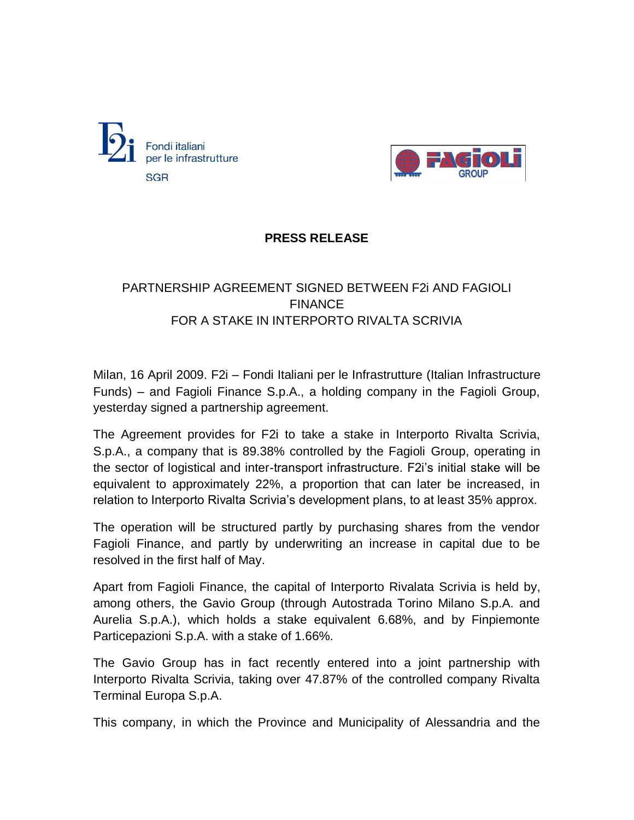



## **PRESS RELEASE**

## PARTNERSHIP AGREEMENT SIGNED BETWEEN F2i AND FAGIOLI **FINANCE** FOR A STAKE IN INTERPORTO RIVALTA SCRIVIA

Milan, 16 April 2009. F2i – Fondi Italiani per le Infrastrutture (Italian Infrastructure Funds) – and Fagioli Finance S.p.A., a holding company in the Fagioli Group, yesterday signed a partnership agreement.

The Agreement provides for F2i to take a stake in Interporto Rivalta Scrivia, S.p.A., a company that is 89.38% controlled by the Fagioli Group, operating in the sector of logistical and inter-transport infrastructure. F2i's initial stake will be equivalent to approximately 22%, a proportion that can later be increased, in relation to Interporto Rivalta Scrivia's development plans, to at least 35% approx.

The operation will be structured partly by purchasing shares from the vendor Fagioli Finance, and partly by underwriting an increase in capital due to be resolved in the first half of May.

Apart from Fagioli Finance, the capital of Interporto Rivalata Scrivia is held by, among others, the Gavio Group (through Autostrada Torino Milano S.p.A. and Aurelia S.p.A.), which holds a stake equivalent 6.68%, and by Finpiemonte Particepazioni S.p.A. with a stake of 1.66%.

The Gavio Group has in fact recently entered into a joint partnership with Interporto Rivalta Scrivia, taking over 47.87% of the controlled company Rivalta Terminal Europa S.p.A.

This company, in which the Province and Municipality of Alessandria and the